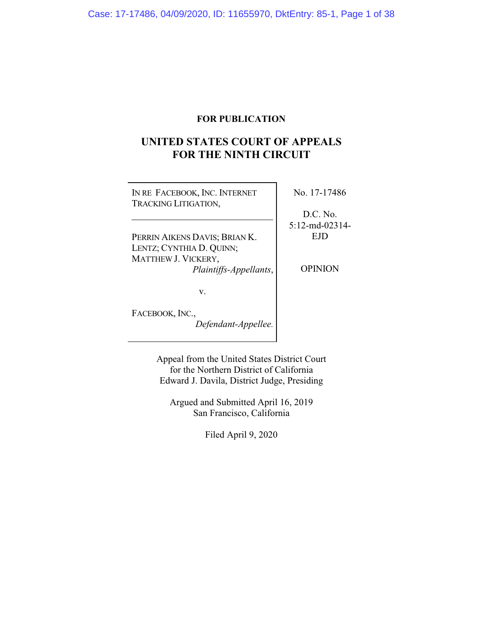## **FOR PUBLICATION**

# **UNITED STATES COURT OF APPEALS FOR THE NINTH CIRCUIT**

| IN RE FACEBOOK, INC. INTERNET<br><b>TRACKING LITIGATION,</b> | No. 17-17486                  |
|--------------------------------------------------------------|-------------------------------|
|                                                              | D.C. No.<br>$5:12$ -md-02314- |
| PERRIN AIKENS DAVIS; BRIAN K.                                | EJD                           |
| LENTZ; CYNTHIA D. QUINN;                                     |                               |
| MATTHEW J. VICKERY,                                          |                               |
| Plaintiffs-Appellants,                                       | OPINION                       |
| v.                                                           |                               |
| FACEBOOK, INC.,                                              |                               |
| Defendant-Appellee.                                          |                               |

Appeal from the United States District Court for the Northern District of California Edward J. Davila, District Judge, Presiding

Argued and Submitted April 16, 2019 San Francisco, California

Filed April 9, 2020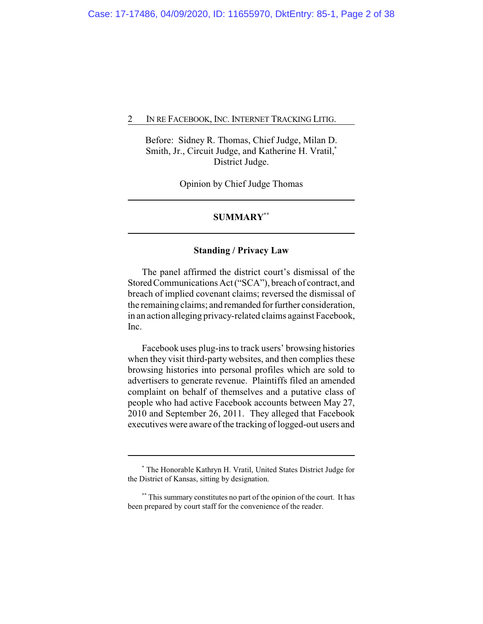Before: Sidney R. Thomas, Chief Judge, Milan D. Smith, Jr., Circuit Judge, and Katherine H. Vratil,**\*** District Judge.

Opinion by Chief Judge Thomas

## **SUMMARY\*\***

#### **Standing / Privacy Law**

The panel affirmed the district court's dismissal of the Stored Communications Act ("SCA"), breach of contract, and breach of implied covenant claims; reversed the dismissal of the remaining claims; and remanded for further consideration, in an action alleging privacy-related claims against Facebook, Inc.

Facebook uses plug-ins to track users' browsing histories when they visit third-party websites, and then complies these browsing histories into personal profiles which are sold to advertisers to generate revenue. Plaintiffs filed an amended complaint on behalf of themselves and a putative class of people who had active Facebook accounts between May 27, 2010 and September 26, 2011. They alleged that Facebook executives were aware of the tracking of logged-out users and

**<sup>\*</sup>** The Honorable Kathryn H. Vratil, United States District Judge for the District of Kansas, sitting by designation.

**<sup>\*\*</sup>** This summary constitutes no part of the opinion of the court. It has been prepared by court staff for the convenience of the reader.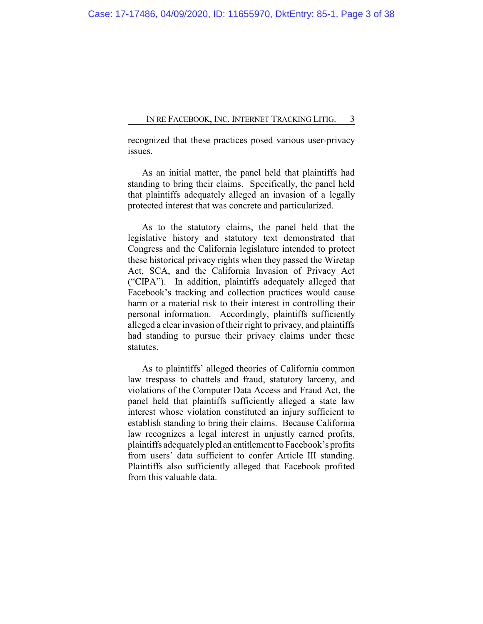recognized that these practices posed various user-privacy issues.

As an initial matter, the panel held that plaintiffs had standing to bring their claims. Specifically, the panel held that plaintiffs adequately alleged an invasion of a legally protected interest that was concrete and particularized.

As to the statutory claims, the panel held that the legislative history and statutory text demonstrated that Congress and the California legislature intended to protect these historical privacy rights when they passed the Wiretap Act, SCA, and the California Invasion of Privacy Act ("CIPA"). In addition, plaintiffs adequately alleged that Facebook's tracking and collection practices would cause harm or a material risk to their interest in controlling their personal information. Accordingly, plaintiffs sufficiently alleged a clear invasion of their right to privacy, and plaintiffs had standing to pursue their privacy claims under these statutes.

As to plaintiffs' alleged theories of California common law trespass to chattels and fraud, statutory larceny, and violations of the Computer Data Access and Fraud Act, the panel held that plaintiffs sufficiently alleged a state law interest whose violation constituted an injury sufficient to establish standing to bring their claims. Because California law recognizes a legal interest in unjustly earned profits, plaintiffs adequatelypled an entitlement to Facebook's profits from users' data sufficient to confer Article III standing. Plaintiffs also sufficiently alleged that Facebook profited from this valuable data.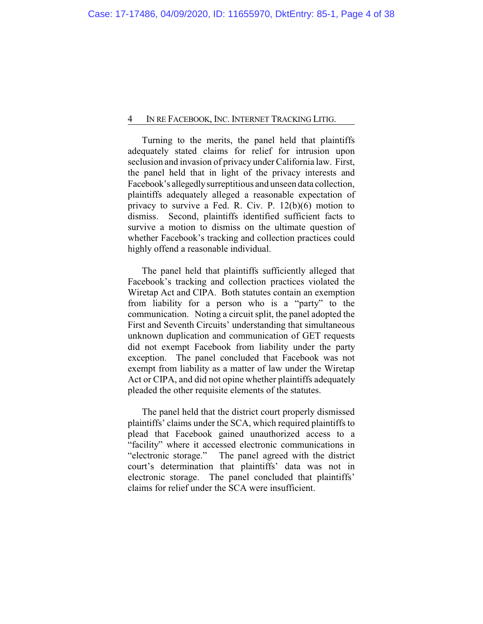Turning to the merits, the panel held that plaintiffs adequately stated claims for relief for intrusion upon seclusion and invasion of privacy under California law. First, the panel held that in light of the privacy interests and Facebook's allegedlysurreptitious and unseen data collection, plaintiffs adequately alleged a reasonable expectation of privacy to survive a Fed. R. Civ. P. 12(b)(6) motion to dismiss. Second, plaintiffs identified sufficient facts to survive a motion to dismiss on the ultimate question of whether Facebook's tracking and collection practices could highly offend a reasonable individual.

The panel held that plaintiffs sufficiently alleged that Facebook's tracking and collection practices violated the Wiretap Act and CIPA. Both statutes contain an exemption from liability for a person who is a "party" to the communication. Noting a circuit split, the panel adopted the First and Seventh Circuits' understanding that simultaneous unknown duplication and communication of GET requests did not exempt Facebook from liability under the party exception. The panel concluded that Facebook was not exempt from liability as a matter of law under the Wiretap Act or CIPA, and did not opine whether plaintiffs adequately pleaded the other requisite elements of the statutes.

The panel held that the district court properly dismissed plaintiffs' claims under the SCA, which required plaintiffs to plead that Facebook gained unauthorized access to a "facility" where it accessed electronic communications in "electronic storage." The panel agreed with the district court's determination that plaintiffs' data was not in electronic storage. The panel concluded that plaintiffs' claims for relief under the SCA were insufficient.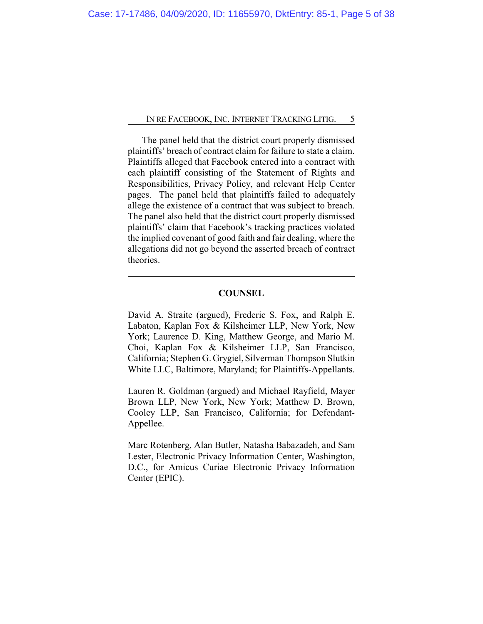The panel held that the district court properly dismissed plaintiffs' breach of contract claim for failure to state a claim. Plaintiffs alleged that Facebook entered into a contract with each plaintiff consisting of the Statement of Rights and Responsibilities, Privacy Policy, and relevant Help Center pages. The panel held that plaintiffs failed to adequately allege the existence of a contract that was subject to breach. The panel also held that the district court properly dismissed plaintiffs' claim that Facebook's tracking practices violated the implied covenant of good faith and fair dealing, where the allegations did not go beyond the asserted breach of contract theories.

## **COUNSEL**

David A. Straite (argued), Frederic S. Fox, and Ralph E. Labaton, Kaplan Fox & Kilsheimer LLP, New York, New York; Laurence D. King, Matthew George, and Mario M. Choi, Kaplan Fox & Kilsheimer LLP, San Francisco, California; Stephen G. Grygiel, Silverman Thompson Slutkin White LLC, Baltimore, Maryland; for Plaintiffs-Appellants.

Lauren R. Goldman (argued) and Michael Rayfield, Mayer Brown LLP, New York, New York; Matthew D. Brown, Cooley LLP, San Francisco, California; for Defendant-Appellee.

Marc Rotenberg, Alan Butler, Natasha Babazadeh, and Sam Lester, Electronic Privacy Information Center, Washington, D.C., for Amicus Curiae Electronic Privacy Information Center (EPIC).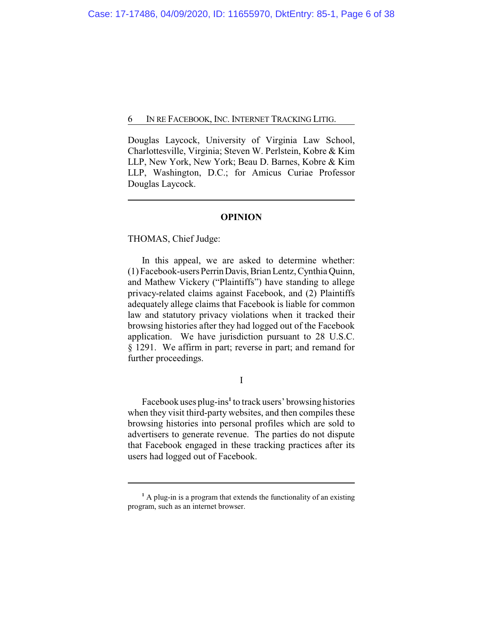Douglas Laycock, University of Virginia Law School, Charlottesville, Virginia; Steven W. Perlstein, Kobre & Kim LLP, New York, New York; Beau D. Barnes, Kobre & Kim LLP, Washington, D.C.; for Amicus Curiae Professor Douglas Laycock.

## **OPINION**

THOMAS, Chief Judge:

In this appeal, we are asked to determine whether: (1) Facebook-users PerrinDavis,Brian Lentz,Cynthia Quinn, and Mathew Vickery ("Plaintiffs") have standing to allege privacy-related claims against Facebook, and (2) Plaintiffs adequately allege claims that Facebook is liable for common law and statutory privacy violations when it tracked their browsing histories after they had logged out of the Facebook application. We have jurisdiction pursuant to 28 U.S.C. § 1291. We affirm in part; reverse in part; and remand for further proceedings.

I

Facebook uses plug-ins**<sup>1</sup>** to track users' browsing histories when they visit third-party websites, and then compiles these browsing histories into personal profiles which are sold to advertisers to generate revenue. The parties do not dispute that Facebook engaged in these tracking practices after its users had logged out of Facebook.

<sup>&</sup>lt;sup>1</sup> A plug-in is a program that extends the functionality of an existing program, such as an internet browser.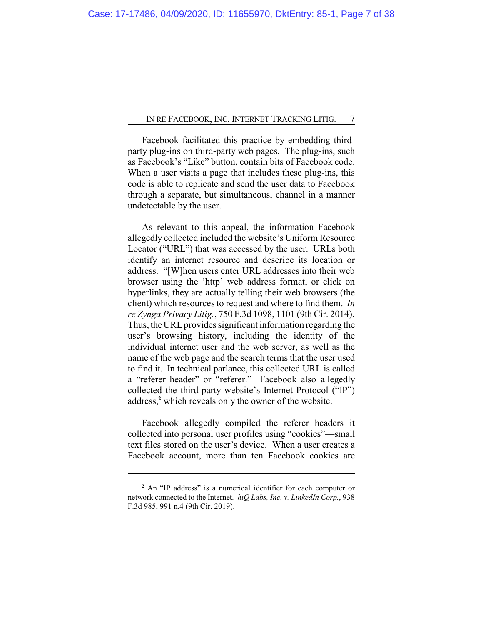Facebook facilitated this practice by embedding thirdparty plug-ins on third-party web pages. The plug-ins, such as Facebook's "Like" button, contain bits of Facebook code. When a user visits a page that includes these plug-ins, this code is able to replicate and send the user data to Facebook through a separate, but simultaneous, channel in a manner undetectable by the user.

As relevant to this appeal, the information Facebook allegedly collected included the website's Uniform Resource Locator ("URL") that was accessed by the user. URLs both identify an internet resource and describe its location or address. "[W]hen users enter URL addresses into their web browser using the 'http' web address format, or click on hyperlinks, they are actually telling their web browsers (the client) which resources to request and where to find them. *In re Zynga Privacy Litig.*, 750 F.3d 1098, 1101 (9th Cir. 2014). Thus, the URL provides significant information regarding the user's browsing history, including the identity of the individual internet user and the web server, as well as the name of the web page and the search terms that the user used to find it. In technical parlance, this collected URL is called a "referer header" or "referer." Facebook also allegedly collected the third-party website's Internet Protocol ("IP") address,**<sup>2</sup>** which reveals only the owner of the website.

Facebook allegedly compiled the referer headers it collected into personal user profiles using "cookies"—small text files stored on the user's device. When a user creates a Facebook account, more than ten Facebook cookies are

**<sup>2</sup>** An "IP address" is a numerical identifier for each computer or network connected to the Internet. *hiQ Labs, Inc. v. LinkedIn Corp.*, 938 F.3d 985, 991 n.4 (9th Cir. 2019).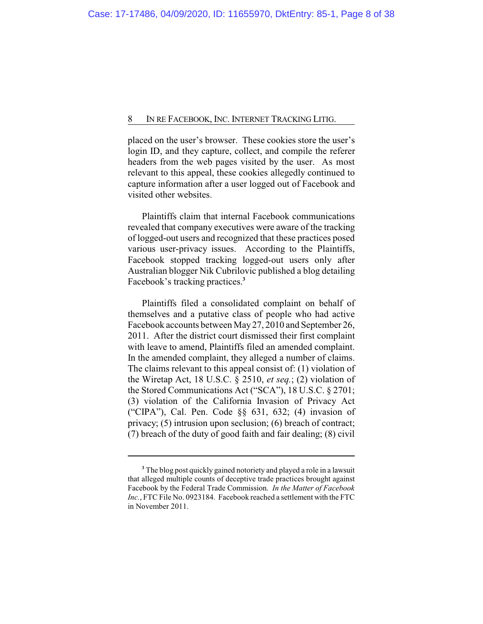placed on the user's browser. These cookies store the user's login ID, and they capture, collect, and compile the referer headers from the web pages visited by the user. As most relevant to this appeal, these cookies allegedly continued to capture information after a user logged out of Facebook and visited other websites.

Plaintiffs claim that internal Facebook communications revealed that company executives were aware of the tracking of logged-out users and recognized that these practices posed various user-privacy issues. According to the Plaintiffs, Facebook stopped tracking logged-out users only after Australian blogger Nik Cubrilovic published a blog detailing Facebook's tracking practices.**<sup>3</sup>**

Plaintiffs filed a consolidated complaint on behalf of themselves and a putative class of people who had active Facebook accounts between May27, 2010 and September 26, 2011. After the district court dismissed their first complaint with leave to amend, Plaintiffs filed an amended complaint. In the amended complaint, they alleged a number of claims. The claims relevant to this appeal consist of: (1) violation of the Wiretap Act, 18 U.S.C. § 2510, *et seq.*; (2) violation of the Stored Communications Act ("SCA"), 18 U.S.C. § 2701; (3) violation of the California Invasion of Privacy Act ("CIPA"), Cal. Pen. Code §§ 631, 632; (4) invasion of privacy; (5) intrusion upon seclusion; (6) breach of contract; (7) breach of the duty of good faith and fair dealing; (8) civil

**<sup>3</sup>** The blog post quickly gained notoriety and played a role in a lawsuit that alleged multiple counts of deceptive trade practices brought against Facebook by the Federal Trade Commission. *In the Matter of Facebook Inc.*, FTC File No. 0923184. Facebook reached a settlement with the FTC in November 2011.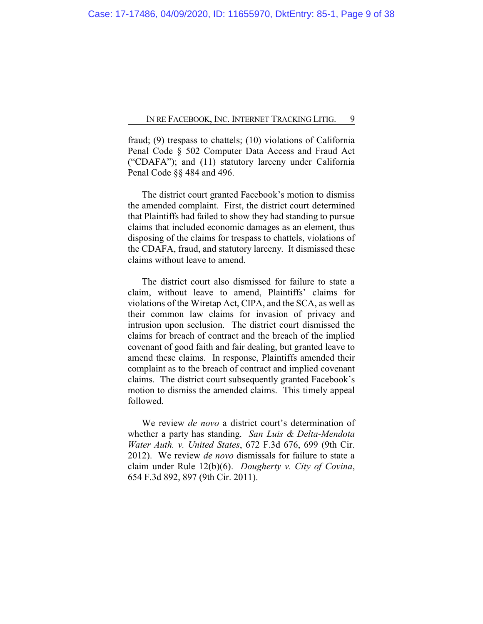fraud; (9) trespass to chattels; (10) violations of California Penal Code § 502 Computer Data Access and Fraud Act ("CDAFA"); and (11) statutory larceny under California Penal Code §§ 484 and 496.

The district court granted Facebook's motion to dismiss the amended complaint. First, the district court determined that Plaintiffs had failed to show they had standing to pursue claims that included economic damages as an element, thus disposing of the claims for trespass to chattels, violations of the CDAFA, fraud, and statutory larceny. It dismissed these claims without leave to amend.

The district court also dismissed for failure to state a claim, without leave to amend, Plaintiffs' claims for violations of the Wiretap Act, CIPA, and the SCA, as well as their common law claims for invasion of privacy and intrusion upon seclusion. The district court dismissed the claims for breach of contract and the breach of the implied covenant of good faith and fair dealing, but granted leave to amend these claims. In response, Plaintiffs amended their complaint as to the breach of contract and implied covenant claims. The district court subsequently granted Facebook's motion to dismiss the amended claims. This timely appeal followed.

We review *de novo* a district court's determination of whether a party has standing. *San Luis & Delta-Mendota Water Auth. v. United States*, 672 F.3d 676, 699 (9th Cir. 2012). We review *de novo* dismissals for failure to state a claim under Rule 12(b)(6). *Dougherty v. City of Covina*, 654 F.3d 892, 897 (9th Cir. 2011).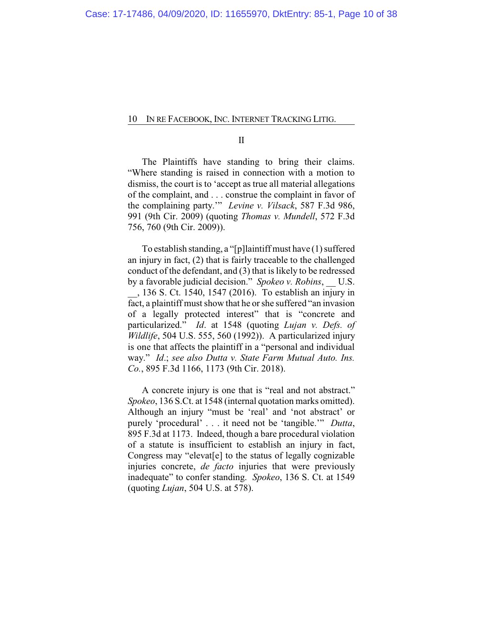II

The Plaintiffs have standing to bring their claims. "Where standing is raised in connection with a motion to dismiss, the court is to 'accept as true all material allegations of the complaint, and . . . construe the complaint in favor of the complaining party.'" *Levine v. Vilsack*, 587 F.3d 986, 991 (9th Cir. 2009) (quoting *Thomas v. Mundell*, 572 F.3d 756, 760 (9th Cir. 2009)).

To establish standing, a "[p]laintiff must have (1) suffered an injury in fact, (2) that is fairly traceable to the challenged conduct of the defendant, and (3) that is likely to be redressed by a favorable judicial decision." *Spokeo v. Robins*, U.S. \_\_, 136 S. Ct. 1540, 1547 (2016). To establish an injury in fact, a plaintiff must show that he or she suffered "an invasion of a legally protected interest" that is "concrete and particularized." *Id*. at 1548 (quoting *Lujan v. Defs. of Wildlife*, 504 U.S. 555, 560 (1992)). A particularized injury is one that affects the plaintiff in a "personal and individual way." *Id*.; *see also Dutta v. State Farm Mutual Auto. Ins. Co.*, 895 F.3d 1166, 1173 (9th Cir. 2018).

A concrete injury is one that is "real and not abstract." *Spokeo*, 136 S.Ct. at 1548 (internal quotation marks omitted). Although an injury "must be 'real' and 'not abstract' or purely 'procedural' . . . it need not be 'tangible.'" *Dutta*, 895 F.3d at 1173. Indeed, though a bare procedural violation of a statute is insufficient to establish an injury in fact, Congress may "elevat[e] to the status of legally cognizable injuries concrete, *de facto* injuries that were previously inadequate" to confer standing. *Spokeo*, 136 S. Ct. at 1549 (quoting *Lujan*, 504 U.S. at 578).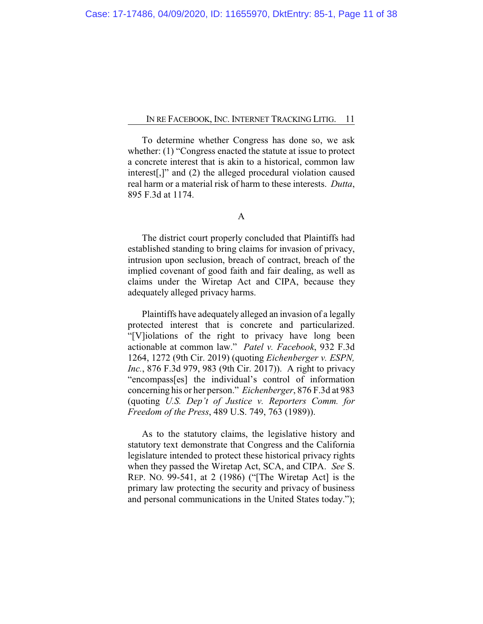To determine whether Congress has done so, we ask whether: (1) "Congress enacted the statute at issue to protect a concrete interest that is akin to a historical, common law interest[,]" and (2) the alleged procedural violation caused real harm or a material risk of harm to these interests. *Dutta*, 895 F.3d at 1174.

A

The district court properly concluded that Plaintiffs had established standing to bring claims for invasion of privacy, intrusion upon seclusion, breach of contract, breach of the implied covenant of good faith and fair dealing, as well as claims under the Wiretap Act and CIPA, because they adequately alleged privacy harms.

Plaintiffs have adequately alleged an invasion of a legally protected interest that is concrete and particularized. "[V]iolations of the right to privacy have long been actionable at common law." *Patel v. Facebook*, 932 F.3d 1264, 1272 (9th Cir. 2019) (quoting *Eichenberger v. ESPN, Inc.*, 876 F.3d 979, 983 (9th Cir. 2017)). A right to privacy "encompass[es] the individual's control of information concerning his or her person." *Eichenberger*, 876 F.3d at 983 (quoting *U.S. Dep't of Justice v. Reporters Comm. for Freedom of the Press*, 489 U.S. 749, 763 (1989)).

As to the statutory claims, the legislative history and statutory text demonstrate that Congress and the California legislature intended to protect these historical privacy rights when they passed the Wiretap Act, SCA, and CIPA. *See* S. REP. NO. 99-541, at 2 (1986) ("[The Wiretap Act] is the primary law protecting the security and privacy of business and personal communications in the United States today.");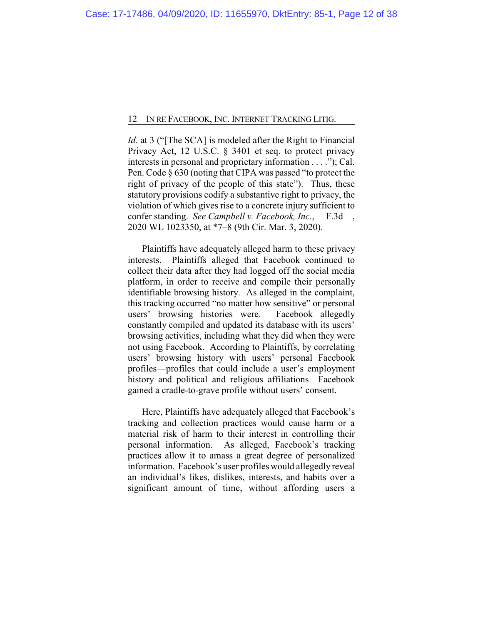*Id.* at 3 ("The SCA] is modeled after the Right to Financial Privacy Act, 12 U.S.C. § 3401 et seq. to protect privacy interests in personal and proprietary information . . . ."); Cal. Pen. Code § 630 (noting that CIPA was passed "to protect the right of privacy of the people of this state"). Thus, these statutory provisions codify a substantive right to privacy, the violation of which gives rise to a concrete injury sufficient to confer standing. *See Campbell v. Facebook, Inc.*, —F.3d—, 2020 WL 1023350, at \*7–8 (9th Cir. Mar. 3, 2020).

Plaintiffs have adequately alleged harm to these privacy interests. Plaintiffs alleged that Facebook continued to collect their data after they had logged off the social media platform, in order to receive and compile their personally identifiable browsing history. As alleged in the complaint, this tracking occurred "no matter how sensitive" or personal users' browsing histories were. Facebook allegedly constantly compiled and updated its database with its users' browsing activities, including what they did when they were not using Facebook. According to Plaintiffs, by correlating users' browsing history with users' personal Facebook profiles—profiles that could include a user's employment history and political and religious affiliations—Facebook gained a cradle-to-grave profile without users' consent.

Here, Plaintiffs have adequately alleged that Facebook's tracking and collection practices would cause harm or a material risk of harm to their interest in controlling their personal information. As alleged, Facebook's tracking practices allow it to amass a great degree of personalized information. Facebook's user profiles would allegedly reveal an individual's likes, dislikes, interests, and habits over a significant amount of time, without affording users a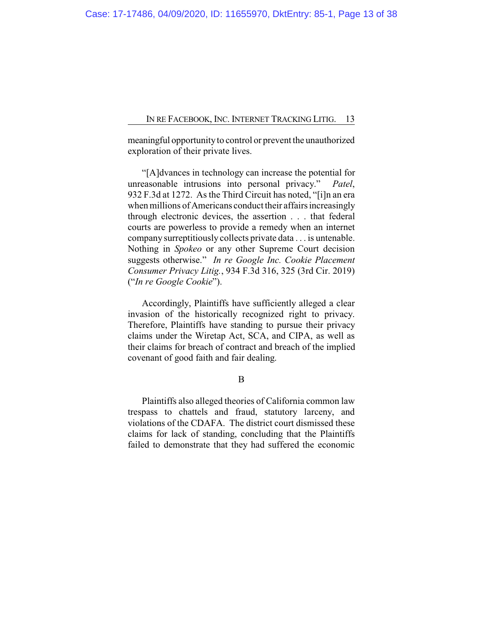meaningful opportunity to control or prevent the unauthorized exploration of their private lives.

"[A]dvances in technology can increase the potential for unreasonable intrusions into personal privacy." *Patel*, 932 F.3d at 1272. As the Third Circuit has noted, "[i]n an era when millions of Americans conduct their affairs increasingly through electronic devices, the assertion . . . that federal courts are powerless to provide a remedy when an internet company surreptitiously collects private data . . . is untenable. Nothing in *Spokeo* or any other Supreme Court decision suggests otherwise." *In re Google Inc. Cookie Placement Consumer Privacy Litig.*, 934 F.3d 316, 325 (3rd Cir. 2019) ("*In re Google Cookie*").

Accordingly, Plaintiffs have sufficiently alleged a clear invasion of the historically recognized right to privacy. Therefore, Plaintiffs have standing to pursue their privacy claims under the Wiretap Act, SCA, and CIPA, as well as their claims for breach of contract and breach of the implied covenant of good faith and fair dealing.

B

Plaintiffs also alleged theories of California common law trespass to chattels and fraud, statutory larceny, and violations of the CDAFA. The district court dismissed these claims for lack of standing, concluding that the Plaintiffs failed to demonstrate that they had suffered the economic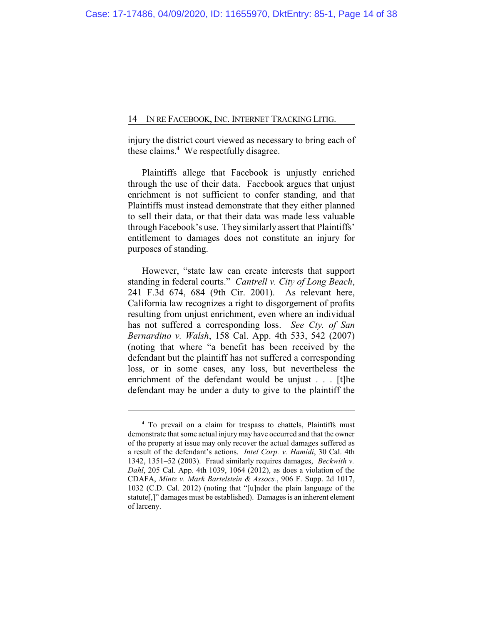injury the district court viewed as necessary to bring each of these claims.**<sup>4</sup>** We respectfully disagree.

Plaintiffs allege that Facebook is unjustly enriched through the use of their data. Facebook argues that unjust enrichment is not sufficient to confer standing, and that Plaintiffs must instead demonstrate that they either planned to sell their data, or that their data was made less valuable through Facebook's use. They similarly assert that Plaintiffs' entitlement to damages does not constitute an injury for purposes of standing.

However, "state law can create interests that support standing in federal courts." *Cantrell v. City of Long Beach*, 241 F.3d 674, 684 (9th Cir. 2001). As relevant here, California law recognizes a right to disgorgement of profits resulting from unjust enrichment, even where an individual has not suffered a corresponding loss. *See Cty. of San Bernardino v. Walsh*, 158 Cal. App. 4th 533, 542 (2007) (noting that where "a benefit has been received by the defendant but the plaintiff has not suffered a corresponding loss, or in some cases, any loss, but nevertheless the enrichment of the defendant would be unjust . . . [t]he defendant may be under a duty to give to the plaintiff the

**<sup>4</sup>** To prevail on a claim for trespass to chattels, Plaintiffs must demonstrate that some actual injury may have occurred and that the owner of the property at issue may only recover the actual damages suffered as a result of the defendant's actions. *Intel Corp. v. Hamidi*, 30 Cal. 4th 1342, 1351–52 (2003). Fraud similarly requires damages, *Beckwith v. Dahl*, 205 Cal. App. 4th 1039, 1064 (2012), as does a violation of the CDAFA, *Mintz v. Mark Bartelstein & Assocs.*, 906 F. Supp. 2d 1017, 1032 (C.D. Cal. 2012) (noting that "[u]nder the plain language of the statute[,]" damages must be established). Damages is an inherent element of larceny.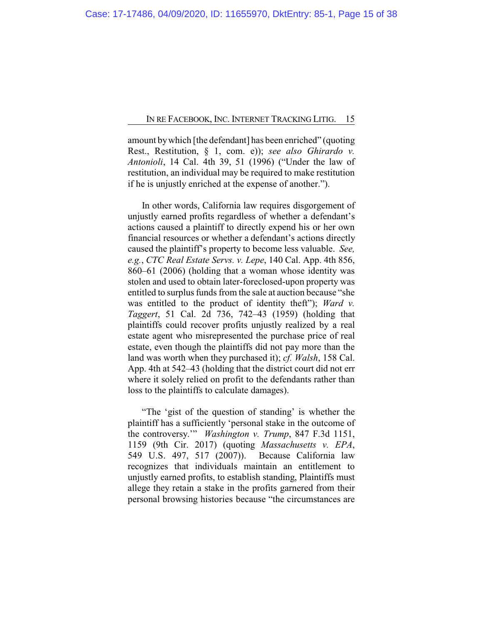amount bywhich [the defendant] has been enriched" (quoting Rest., Restitution, § 1, com. e)); *see also Ghirardo v. Antonioli*, 14 Cal. 4th 39, 51 (1996) ("Under the law of restitution, an individual may be required to make restitution if he is unjustly enriched at the expense of another.").

In other words, California law requires disgorgement of unjustly earned profits regardless of whether a defendant's actions caused a plaintiff to directly expend his or her own financial resources or whether a defendant's actions directly caused the plaintiff's property to become less valuable. *See, e.g.*, *CTC Real Estate Servs. v. Lepe*, 140 Cal. App. 4th 856, 860–61 (2006) (holding that a woman whose identity was stolen and used to obtain later-foreclosed-upon property was entitled to surplus funds from the sale at auction because "she was entitled to the product of identity theft"); *Ward v. Taggert*, 51 Cal. 2d 736, 742–43 (1959) (holding that plaintiffs could recover profits unjustly realized by a real estate agent who misrepresented the purchase price of real estate, even though the plaintiffs did not pay more than the land was worth when they purchased it); *cf. Walsh*, 158 Cal. App. 4th at 542–43 (holding that the district court did not err where it solely relied on profit to the defendants rather than loss to the plaintiffs to calculate damages).

"The 'gist of the question of standing' is whether the plaintiff has a sufficiently 'personal stake in the outcome of the controversy.'" *Washington v. Trump*, 847 F.3d 1151, 1159 (9th Cir. 2017) (quoting *Massachusetts v. EPA*, 549 U.S. 497, 517 (2007)). Because California law recognizes that individuals maintain an entitlement to unjustly earned profits, to establish standing, Plaintiffs must allege they retain a stake in the profits garnered from their personal browsing histories because "the circumstances are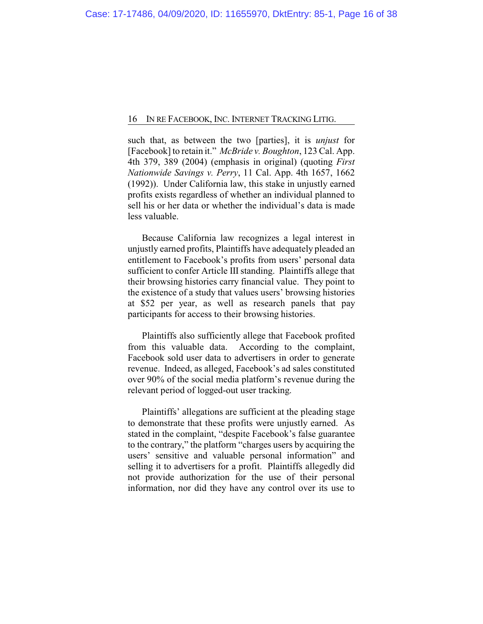such that, as between the two [parties], it is *unjust* for [Facebook] to retain it." *McBride v. Boughton*, 123 Cal. App. 4th 379, 389 (2004) (emphasis in original) (quoting *First Nationwide Savings v. Perry*, 11 Cal. App. 4th 1657, 1662 (1992)). Under California law, this stake in unjustly earned profits exists regardless of whether an individual planned to sell his or her data or whether the individual's data is made less valuable.

Because California law recognizes a legal interest in unjustly earned profits, Plaintiffs have adequately pleaded an entitlement to Facebook's profits from users' personal data sufficient to confer Article III standing. Plaintiffs allege that their browsing histories carry financial value. They point to the existence of a study that values users' browsing histories at \$52 per year, as well as research panels that pay participants for access to their browsing histories.

Plaintiffs also sufficiently allege that Facebook profited from this valuable data. According to the complaint, Facebook sold user data to advertisers in order to generate revenue. Indeed, as alleged, Facebook's ad sales constituted over 90% of the social media platform's revenue during the relevant period of logged-out user tracking.

Plaintiffs' allegations are sufficient at the pleading stage to demonstrate that these profits were unjustly earned. As stated in the complaint, "despite Facebook's false guarantee to the contrary," the platform "charges users by acquiring the users' sensitive and valuable personal information" and selling it to advertisers for a profit. Plaintiffs allegedly did not provide authorization for the use of their personal information, nor did they have any control over its use to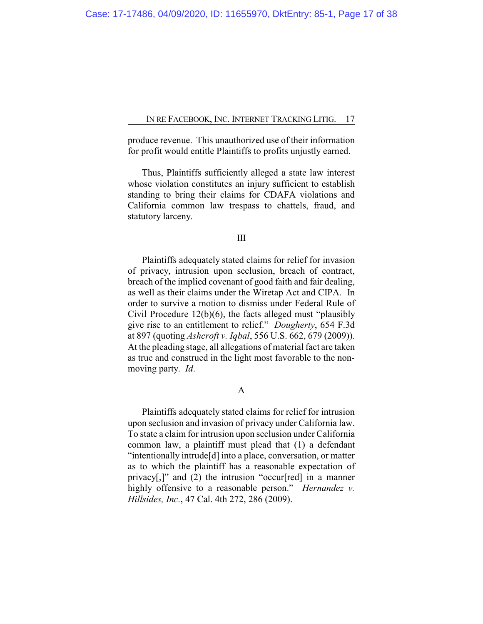produce revenue. This unauthorized use of their information for profit would entitle Plaintiffs to profits unjustly earned.

Thus, Plaintiffs sufficiently alleged a state law interest whose violation constitutes an injury sufficient to establish standing to bring their claims for CDAFA violations and California common law trespass to chattels, fraud, and statutory larceny.

#### III

Plaintiffs adequately stated claims for relief for invasion of privacy, intrusion upon seclusion, breach of contract, breach of the implied covenant of good faith and fair dealing, as well as their claims under the Wiretap Act and CIPA. In order to survive a motion to dismiss under Federal Rule of Civil Procedure 12(b)(6), the facts alleged must "plausibly give rise to an entitlement to relief." *Dougherty*, 654 F.3d at 897 (quoting *Ashcroft v. Iqbal*, 556 U.S. 662, 679 (2009)). At the pleading stage, all allegations of material fact are taken as true and construed in the light most favorable to the nonmoving party. *Id*.

## A

Plaintiffs adequately stated claims for relief for intrusion upon seclusion and invasion of privacy under California law. To state a claim for intrusion upon seclusion under California common law, a plaintiff must plead that (1) a defendant "intentionally intrude[d] into a place, conversation, or matter as to which the plaintiff has a reasonable expectation of privacy[,]" and (2) the intrusion "occur[red] in a manner highly offensive to a reasonable person." *Hernandez v. Hillsides, Inc.*, 47 Cal. 4th 272, 286 (2009).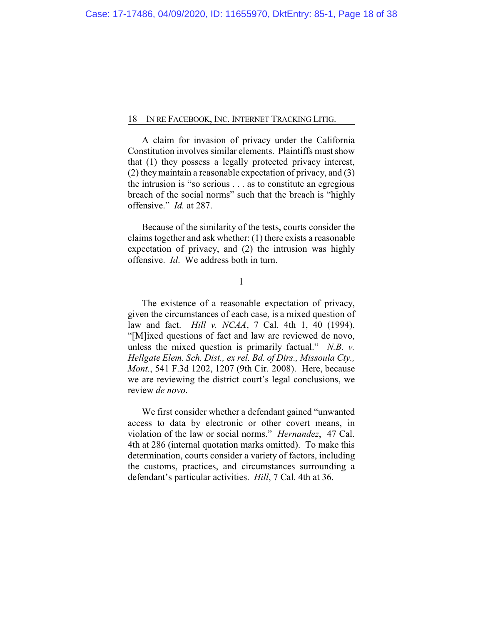A claim for invasion of privacy under the California Constitution involves similar elements. Plaintiffs must show that (1) they possess a legally protected privacy interest, (2) theymaintain a reasonable expectation of privacy, and (3) the intrusion is "so serious . . . as to constitute an egregious breach of the social norms" such that the breach is "highly offensive." *Id.* at 287.

Because of the similarity of the tests, courts consider the claims together and ask whether: (1) there exists a reasonable expectation of privacy, and (2) the intrusion was highly offensive. *Id*. We address both in turn.

1

The existence of a reasonable expectation of privacy, given the circumstances of each case, is a mixed question of law and fact. *Hill v. NCAA*, 7 Cal. 4th 1, 40 (1994). "[M]ixed questions of fact and law are reviewed de novo, unless the mixed question is primarily factual." *N.B. v. Hellgate Elem. Sch. Dist., ex rel. Bd. of Dirs., Missoula Cty., Mont.*, 541 F.3d 1202, 1207 (9th Cir. 2008). Here, because we are reviewing the district court's legal conclusions, we review *de novo*.

We first consider whether a defendant gained "unwanted access to data by electronic or other covert means, in violation of the law or social norms." *Hernandez*, 47 Cal. 4th at 286 (internal quotation marks omitted). To make this determination, courts consider a variety of factors, including the customs, practices, and circumstances surrounding a defendant's particular activities. *Hill*, 7 Cal. 4th at 36.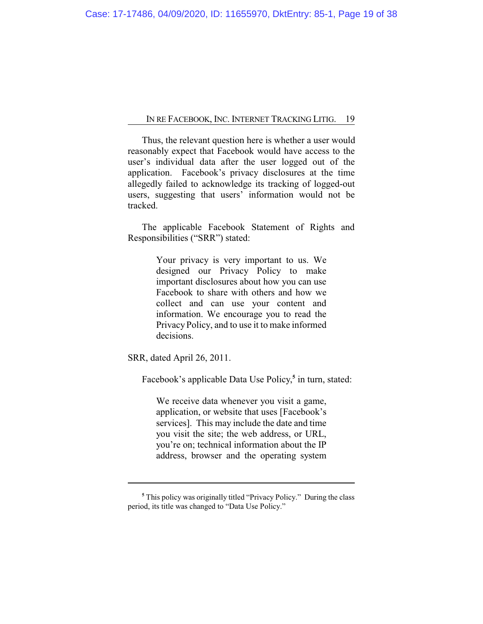Thus, the relevant question here is whether a user would reasonably expect that Facebook would have access to the user's individual data after the user logged out of the application. Facebook's privacy disclosures at the time allegedly failed to acknowledge its tracking of logged-out users, suggesting that users' information would not be tracked.

The applicable Facebook Statement of Rights and Responsibilities ("SRR") stated:

> Your privacy is very important to us. We designed our Privacy Policy to make important disclosures about how you can use Facebook to share with others and how we collect and can use your content and information. We encourage you to read the Privacy Policy, and to use it to make informed decisions.

SRR, dated April 26, 2011.

Facebook's applicable Data Use Policy,<sup>5</sup> in turn, stated:

We receive data whenever you visit a game, application, or website that uses [Facebook's services]. This may include the date and time you visit the site; the web address, or URL, you're on; technical information about the IP address, browser and the operating system

**<sup>5</sup>** This policy was originally titled "Privacy Policy." During the class period, its title was changed to "Data Use Policy."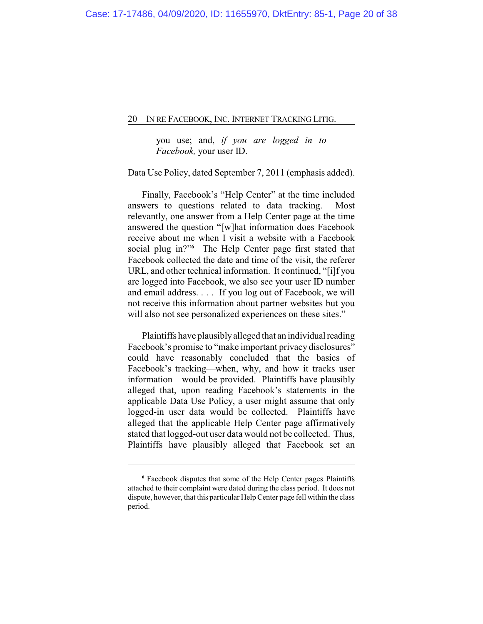you use; and, *if you are logged in to Facebook,* your user ID.

Data Use Policy, dated September 7, 2011 (emphasis added).

Finally, Facebook's "Help Center" at the time included answers to questions related to data tracking. Most relevantly, one answer from a Help Center page at the time answered the question "[w]hat information does Facebook receive about me when I visit a website with a Facebook social plug in?" **<sup>6</sup>** The Help Center page first stated that Facebook collected the date and time of the visit, the referer URL, and other technical information. It continued, "[i]f you are logged into Facebook, we also see your user ID number and email address. . . . If you log out of Facebook, we will not receive this information about partner websites but you will also not see personalized experiences on these sites."

Plaintiffs have plausibly alleged that an individual reading Facebook's promise to "make important privacy disclosures" could have reasonably concluded that the basics of Facebook's tracking—when, why, and how it tracks user information—would be provided. Plaintiffs have plausibly alleged that, upon reading Facebook's statements in the applicable Data Use Policy, a user might assume that only logged-in user data would be collected. Plaintiffs have alleged that the applicable Help Center page affirmatively stated that logged-out user data would not be collected. Thus, Plaintiffs have plausibly alleged that Facebook set an

**<sup>6</sup>** Facebook disputes that some of the Help Center pages Plaintiffs attached to their complaint were dated during the class period. It does not dispute, however, that this particular HelpCenter page fell within the class period.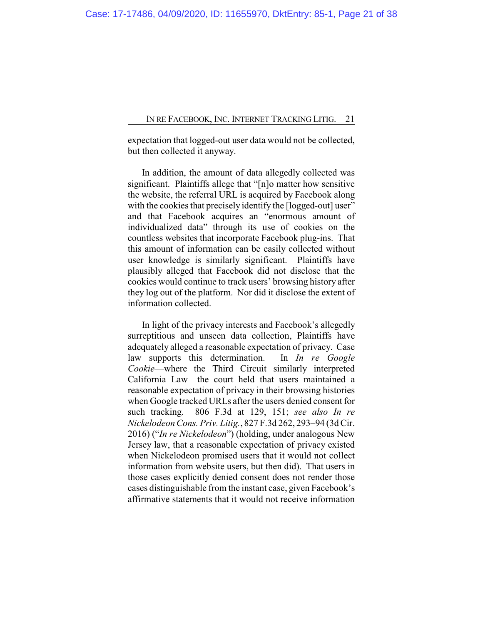expectation that logged-out user data would not be collected, but then collected it anyway.

In addition, the amount of data allegedly collected was significant. Plaintiffs allege that "[n]o matter how sensitive the website, the referral URL is acquired by Facebook along with the cookies that precisely identify the [logged-out] user" and that Facebook acquires an "enormous amount of individualized data" through its use of cookies on the countless websites that incorporate Facebook plug-ins. That this amount of information can be easily collected without user knowledge is similarly significant. Plaintiffs have plausibly alleged that Facebook did not disclose that the cookies would continue to track users' browsing history after they log out of the platform. Nor did it disclose the extent of information collected.

In light of the privacy interests and Facebook's allegedly surreptitious and unseen data collection, Plaintiffs have adequately alleged a reasonable expectation of privacy. Case law supports this determination. In *In re Google Cookie*—where the Third Circuit similarly interpreted California Law—the court held that users maintained a reasonable expectation of privacy in their browsing histories when Google tracked URLs after the users denied consent for such tracking. 806 F.3d at 129, 151; *see also In re Nickelodeon Cons. Priv. Litig.*, 827 F.3d 262, 293–94 (3d Cir. 2016) ("*In re Nickelodeon*") (holding, under analogous New Jersey law, that a reasonable expectation of privacy existed when Nickelodeon promised users that it would not collect information from website users, but then did). That users in those cases explicitly denied consent does not render those cases distinguishable from the instant case, given Facebook's affirmative statements that it would not receive information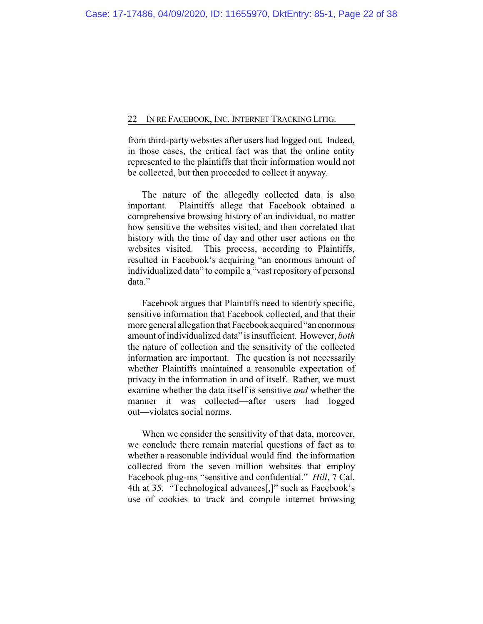from third-party websites after users had logged out. Indeed, in those cases, the critical fact was that the online entity represented to the plaintiffs that their information would not be collected, but then proceeded to collect it anyway.

The nature of the allegedly collected data is also important. Plaintiffs allege that Facebook obtained a comprehensive browsing history of an individual, no matter how sensitive the websites visited, and then correlated that history with the time of day and other user actions on the websites visited. This process, according to Plaintiffs, resulted in Facebook's acquiring "an enormous amount of individualized data" to compile a "vast repository of personal data."

Facebook argues that Plaintiffs need to identify specific, sensitive information that Facebook collected, and that their more general allegation that Facebook acquired "an enormous amount of individualized data" is insufficient. However, *both* the nature of collection and the sensitivity of the collected information are important. The question is not necessarily whether Plaintiffs maintained a reasonable expectation of privacy in the information in and of itself. Rather, we must examine whether the data itself is sensitive *and* whether the manner it was collected—after users had logged out—violates social norms.

When we consider the sensitivity of that data, moreover, we conclude there remain material questions of fact as to whether a reasonable individual would find the information collected from the seven million websites that employ Facebook plug-ins "sensitive and confidential." *Hill*, 7 Cal. 4th at 35. "Technological advances[,]" such as Facebook's use of cookies to track and compile internet browsing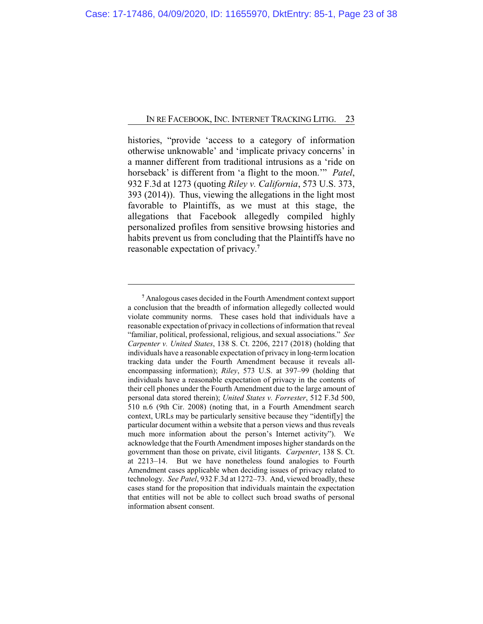histories, "provide 'access to a category of information otherwise unknowable' and 'implicate privacy concerns' in a manner different from traditional intrusions as a 'ride on horseback' is different from 'a flight to the moon.'" *Patel*, 932 F.3d at 1273 (quoting *Riley v. California*, 573 U.S. 373, 393 (2014)). Thus, viewing the allegations in the light most favorable to Plaintiffs, as we must at this stage, the allegations that Facebook allegedly compiled highly personalized profiles from sensitive browsing histories and habits prevent us from concluding that the Plaintiffs have no reasonable expectation of privacy. **7**

**<sup>7</sup>** Analogous cases decided in the Fourth Amendment context support a conclusion that the breadth of information allegedly collected would violate community norms. These cases hold that individuals have a reasonable expectation of privacy in collections of information that reveal "familiar, political, professional, religious, and sexual associations." *See Carpenter v. United States*, 138 S. Ct. 2206, 2217 (2018) (holding that individuals have a reasonable expectation of privacy in long-termlocation tracking data under the Fourth Amendment because it reveals allencompassing information); *Riley*, 573 U.S. at 397–99 (holding that individuals have a reasonable expectation of privacy in the contents of their cell phones under the Fourth Amendment due to the large amount of personal data stored therein); *United States v. Forrester*, 512 F.3d 500, 510 n.6 (9th Cir. 2008) (noting that, in a Fourth Amendment search context, URLs may be particularly sensitive because they "identif[y] the particular document within a website that a person views and thus reveals much more information about the person's Internet activity"). We acknowledge that the Fourth Amendment imposes higher standards on the government than those on private, civil litigants. *Carpenter*, 138 S. Ct. at 2213–14. But we have nonetheless found analogies to Fourth Amendment cases applicable when deciding issues of privacy related to technology. *See Patel*, 932 F.3d at 1272–73. And, viewed broadly, these cases stand for the proposition that individuals maintain the expectation that entities will not be able to collect such broad swaths of personal information absent consent.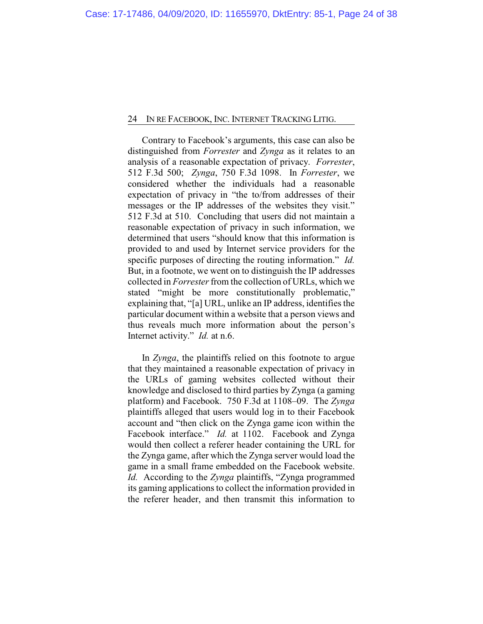Contrary to Facebook's arguments, this case can also be distinguished from *Forrester* and *Zynga* as it relates to an analysis of a reasonable expectation of privacy. *Forrester*, 512 F.3d 500; *Zynga*, 750 F.3d 1098. In *Forrester*, we considered whether the individuals had a reasonable expectation of privacy in "the to/from addresses of their messages or the IP addresses of the websites they visit." 512 F.3d at 510. Concluding that users did not maintain a reasonable expectation of privacy in such information, we determined that users "should know that this information is provided to and used by Internet service providers for the specific purposes of directing the routing information." *Id.*  But, in a footnote, we went on to distinguish the IP addresses collected in *Forrester* from the collection of URLs, which we stated "might be more constitutionally problematic," explaining that, "[a] URL, unlike an IP address, identifies the particular document within a website that a person views and thus reveals much more information about the person's Internet activity." *Id.* at n.6.

In *Zynga*, the plaintiffs relied on this footnote to argue that they maintained a reasonable expectation of privacy in the URLs of gaming websites collected without their knowledge and disclosed to third parties by Zynga (a gaming platform) and Facebook. 750 F.3d at 1108–09. The *Zynga* plaintiffs alleged that users would log in to their Facebook account and "then click on the Zynga game icon within the Facebook interface." *Id.* at 1102. Facebook and Zynga would then collect a referer header containing the URL for the Zynga game, after which the Zynga server would load the game in a small frame embedded on the Facebook website. *Id.* According to the *Zynga* plaintiffs, "Zynga programmed its gaming applications to collect the information provided in the referer header, and then transmit this information to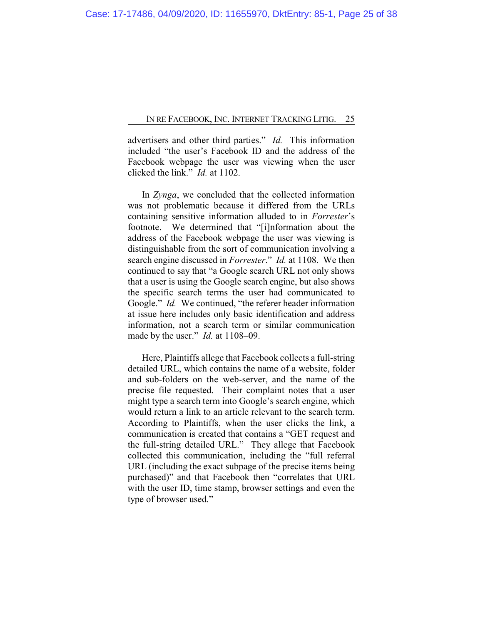advertisers and other third parties." *Id.* This information included "the user's Facebook ID and the address of the Facebook webpage the user was viewing when the user clicked the link." *Id.* at 1102.

In *Zynga*, we concluded that the collected information was not problematic because it differed from the URLs containing sensitive information alluded to in *Forrester*'s footnote. We determined that "[i]nformation about the address of the Facebook webpage the user was viewing is distinguishable from the sort of communication involving a search engine discussed in *Forrester*." *Id.* at 1108. We then continued to say that "a Google search URL not only shows that a user is using the Google search engine, but also shows the specific search terms the user had communicated to Google." *Id.* We continued, "the referer header information at issue here includes only basic identification and address information, not a search term or similar communication made by the user." *Id.* at 1108–09.

Here, Plaintiffs allege that Facebook collects a full-string detailed URL, which contains the name of a website, folder and sub-folders on the web-server, and the name of the precise file requested. Their complaint notes that a user might type a search term into Google's search engine, which would return a link to an article relevant to the search term. According to Plaintiffs, when the user clicks the link, a communication is created that contains a "GET request and the full-string detailed URL." They allege that Facebook collected this communication, including the "full referral URL (including the exact subpage of the precise items being purchased)" and that Facebook then "correlates that URL with the user ID, time stamp, browser settings and even the type of browser used."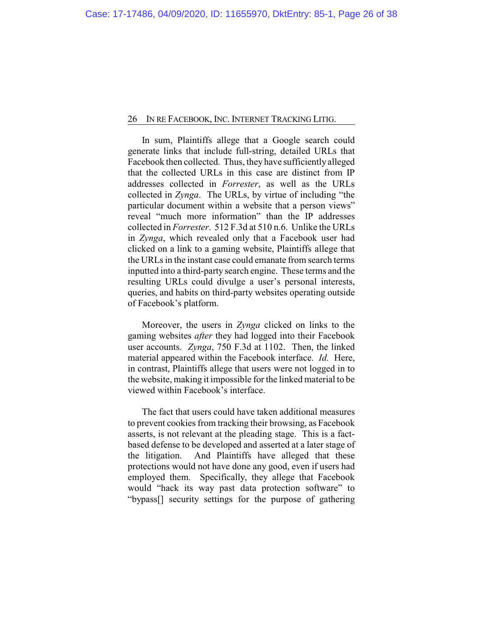In sum, Plaintiffs allege that a Google search could generate links that include full-string, detailed URLs that Facebook then collected. Thus, they have sufficiently alleged that the collected URLs in this case are distinct from IP addresses collected in *Forrester*, as well as the URLs collected in *Zynga*. The URLs, by virtue of including "the particular document within a website that a person views" reveal "much more information" than the IP addresses collected in *Forrester*. 512 F.3d at 510 n.6. Unlike the URLs in *Zynga*, which revealed only that a Facebook user had clicked on a link to a gaming website, Plaintiffs allege that the URLs in the instant case could emanate from search terms inputted into a third-party search engine. These terms and the resulting URLs could divulge a user's personal interests, queries, and habits on third-party websites operating outside of Facebook's platform.

Moreover, the users in *Zynga* clicked on links to the gaming websites *after* they had logged into their Facebook user accounts. *Zynga*, 750 F.3d at 1102. Then, the linked material appeared within the Facebook interface. *Id.* Here, in contrast, Plaintiffs allege that users were not logged in to the website, making it impossible for the linked material to be viewed within Facebook's interface.

The fact that users could have taken additional measures to prevent cookies from tracking their browsing, as Facebook asserts, is not relevant at the pleading stage. This is a factbased defense to be developed and asserted at a later stage of the litigation. And Plaintiffs have alleged that these protections would not have done any good, even if users had employed them. Specifically, they allege that Facebook would "hack its way past data protection software" to "bypass[] security settings for the purpose of gathering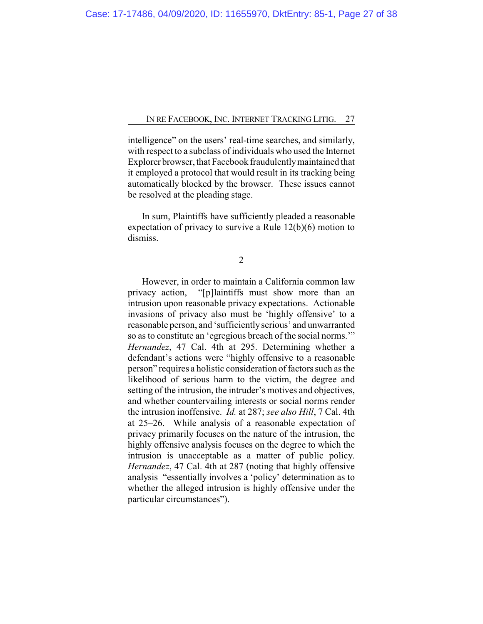intelligence" on the users' real-time searches, and similarly, with respect to a subclass of individuals who used the Internet Explorer browser, that Facebook fraudulentlymaintained that it employed a protocol that would result in its tracking being automatically blocked by the browser. These issues cannot be resolved at the pleading stage.

In sum, Plaintiffs have sufficiently pleaded a reasonable expectation of privacy to survive a Rule 12(b)(6) motion to dismiss.

2

However, in order to maintain a California common law privacy action, "[p]laintiffs must show more than an intrusion upon reasonable privacy expectations. Actionable invasions of privacy also must be 'highly offensive' to a reasonable person, and 'sufficientlyserious' and unwarranted so as to constitute an 'egregious breach of the social norms.'" *Hernandez*, 47 Cal. 4th at 295. Determining whether a defendant's actions were "highly offensive to a reasonable person" requires a holistic consideration of factors such as the likelihood of serious harm to the victim, the degree and setting of the intrusion, the intruder's motives and objectives, and whether countervailing interests or social norms render the intrusion inoffensive. *Id.* at 287; *see also Hill*, 7 Cal. 4th at 25–26. While analysis of a reasonable expectation of privacy primarily focuses on the nature of the intrusion, the highly offensive analysis focuses on the degree to which the intrusion is unacceptable as a matter of public policy. *Hernandez*, 47 Cal. 4th at 287 (noting that highly offensive analysis "essentially involves a 'policy' determination as to whether the alleged intrusion is highly offensive under the particular circumstances").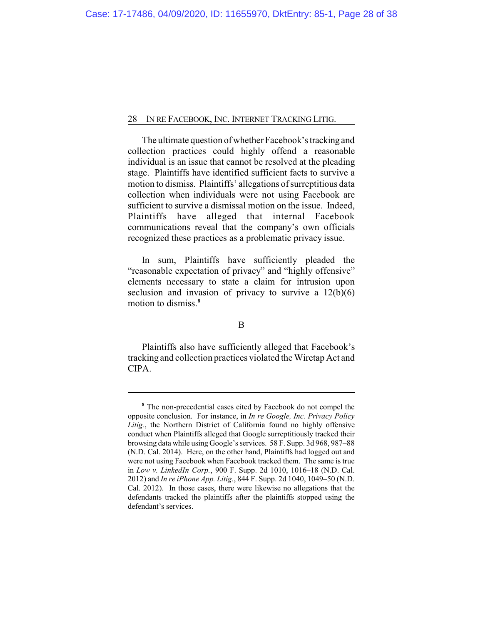The ultimate question of whether Facebook's tracking and collection practices could highly offend a reasonable individual is an issue that cannot be resolved at the pleading stage. Plaintiffs have identified sufficient facts to survive a motion to dismiss. Plaintiffs' allegations of surreptitious data collection when individuals were not using Facebook are sufficient to survive a dismissal motion on the issue. Indeed, Plaintiffs have alleged that internal Facebook communications reveal that the company's own officials recognized these practices as a problematic privacy issue.

In sum, Plaintiffs have sufficiently pleaded the "reasonable expectation of privacy" and "highly offensive" elements necessary to state a claim for intrusion upon seclusion and invasion of privacy to survive a  $12(b)(6)$ motion to dismiss.**<sup>8</sup>**

## B

Plaintiffs also have sufficiently alleged that Facebook's tracking and collection practices violated the Wiretap Act and CIPA.

**<sup>8</sup>** The non-precedential cases cited by Facebook do not compel the opposite conclusion. For instance, in *In re Google, Inc. Privacy Policy Litig.*, the Northern District of California found no highly offensive conduct when Plaintiffs alleged that Google surreptitiously tracked their browsing data while using Google's services. 58 F. Supp. 3d 968, 987–88 (N.D. Cal. 2014). Here, on the other hand, Plaintiffs had logged out and were not using Facebook when Facebook tracked them. The same is true in *Low v. LinkedIn Corp.*, 900 F. Supp. 2d 1010, 1016–18 (N.D. Cal. 2012) and *In re iPhone App. Litig.*, 844 F. Supp. 2d 1040, 1049–50 (N.D. Cal. 2012). In those cases, there were likewise no allegations that the defendants tracked the plaintiffs after the plaintiffs stopped using the defendant's services.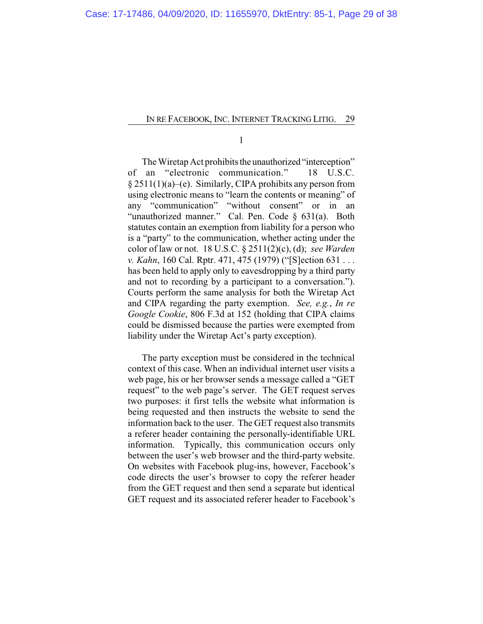1

The Wiretap Act prohibits the unauthorized "interception" of an "electronic communication." 18 U.S.C. § 2511(1)(a)–(e). Similarly, CIPA prohibits any person from using electronic means to "learn the contents or meaning" of any "communication" "without consent" or in an "unauthorized manner." Cal. Pen. Code § 631(a). Both statutes contain an exemption from liability for a person who is a "party" to the communication, whether acting under the color of law or not. 18 U.S.C. § 2511(2)(c), (d); *see Warden v. Kahn*, 160 Cal. Rptr. 471, 475 (1979) ("[S]ection 631 . . . has been held to apply only to eavesdropping by a third party and not to recording by a participant to a conversation."). Courts perform the same analysis for both the Wiretap Act and CIPA regarding the party exemption. *See, e.g.*, *In re Google Cookie*, 806 F.3d at 152 (holding that CIPA claims could be dismissed because the parties were exempted from liability under the Wiretap Act's party exception).

The party exception must be considered in the technical context of this case. When an individual internet user visits a web page, his or her browser sends a message called a "GET request" to the web page's server. The GET request serves two purposes: it first tells the website what information is being requested and then instructs the website to send the information back to the user. The GET request also transmits a referer header containing the personally-identifiable URL information. Typically, this communication occurs only between the user's web browser and the third-party website. On websites with Facebook plug-ins, however, Facebook's code directs the user's browser to copy the referer header from the GET request and then send a separate but identical GET request and its associated referer header to Facebook's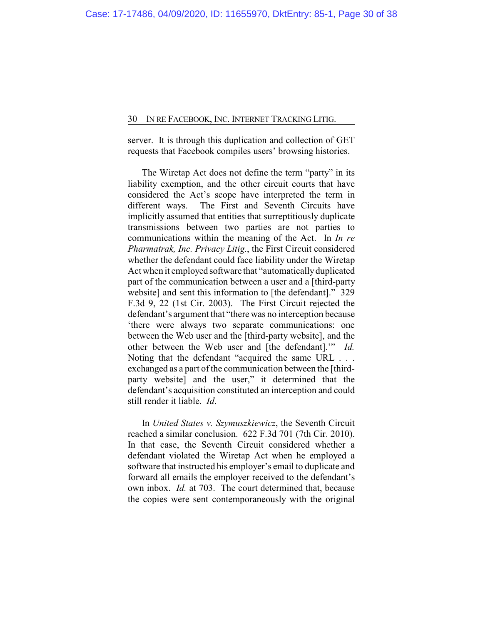server. It is through this duplication and collection of GET requests that Facebook compiles users' browsing histories.

The Wiretap Act does not define the term "party" in its liability exemption, and the other circuit courts that have considered the Act's scope have interpreted the term in different ways. The First and Seventh Circuits have implicitly assumed that entities that surreptitiously duplicate transmissions between two parties are not parties to communications within the meaning of the Act. In *In re Pharmatrak, Inc. Privacy Litig.*, the First Circuit considered whether the defendant could face liability under the Wiretap Act when it employed software that "automatically duplicated part of the communication between a user and a [third-party website] and sent this information to [the defendant]." 329 F.3d 9, 22 (1st Cir. 2003). The First Circuit rejected the defendant's argument that "there was no interception because 'there were always two separate communications: one between the Web user and the [third-party website], and the other between the Web user and [the defendant].'" *Id.* Noting that the defendant "acquired the same URL . . . exchanged as a part of the communication between the [thirdparty website] and the user," it determined that the defendant's acquisition constituted an interception and could still render it liable. *Id*.

In *United States v. Szymuszkiewicz*, the Seventh Circuit reached a similar conclusion. 622 F.3d 701 (7th Cir. 2010). In that case, the Seventh Circuit considered whether a defendant violated the Wiretap Act when he employed a software that instructed his employer's email to duplicate and forward all emails the employer received to the defendant's own inbox. *Id.* at 703. The court determined that, because the copies were sent contemporaneously with the original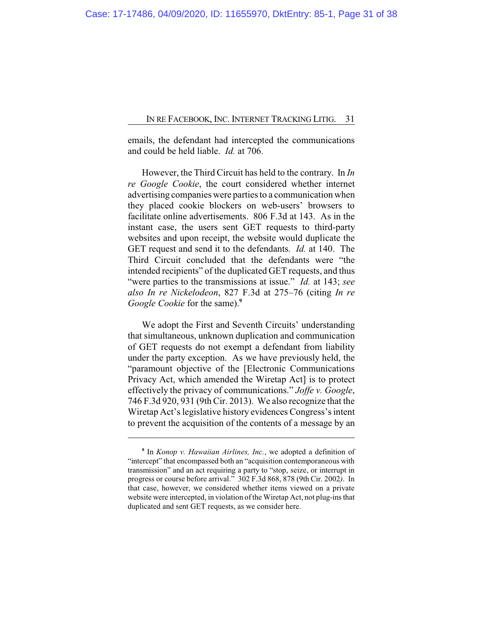emails, the defendant had intercepted the communications and could be held liable. *Id.* at 706.

However, the Third Circuit has held to the contrary. In *In re Google Cookie*, the court considered whether internet advertising companies were parties to a communication when they placed cookie blockers on web-users' browsers to facilitate online advertisements. 806 F.3d at 143. As in the instant case, the users sent GET requests to third-party websites and upon receipt, the website would duplicate the GET request and send it to the defendants. *Id.* at 140. The Third Circuit concluded that the defendants were "the intended recipients" of the duplicated GET requests, and thus "were parties to the transmissions at issue." *Id.* at 143; *see also In re Nickelodeon*, 827 F.3d at 275–76 (citing *In re Google Cookie* for the same).**<sup>9</sup>**

We adopt the First and Seventh Circuits' understanding that simultaneous, unknown duplication and communication of GET requests do not exempt a defendant from liability under the party exception. As we have previously held, the "paramount objective of the [Electronic Communications Privacy Act, which amended the Wiretap Act] is to protect effectively the privacy of communications." *Joffe v. Google*, 746 F.3d 920, 931 (9th Cir. 2013). We also recognize that the Wiretap Act's legislative history evidences Congress's intent to prevent the acquisition of the contents of a message by an

**<sup>9</sup>** In *Konop v. Hawaiian Airlines, Inc.*, we adopted a definition of "intercept" that encompassed both an "acquisition contemporaneous with transmission" and an act requiring a party to "stop, seize, or interrupt in progress or course before arrival." 302 F.3d 868, 878 (9th Cir. 2002*)*. In that case, however, we considered whether items viewed on a private website were intercepted, in violation of the Wiretap Act, not plug-ins that duplicated and sent GET requests, as we consider here.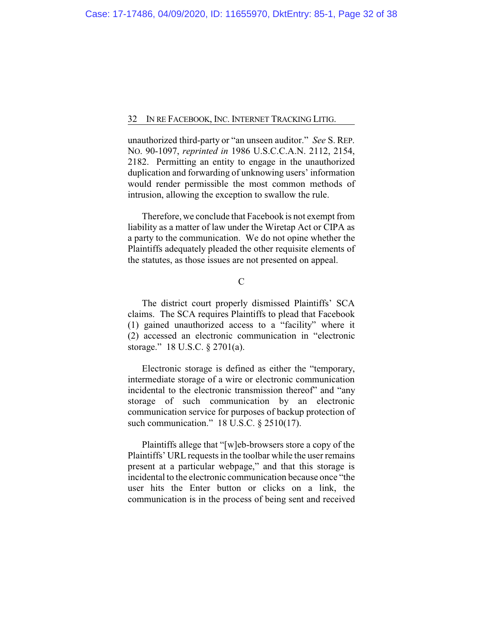unauthorized third-party or "an unseen auditor." *See* S. REP. NO. 90-1097, *reprinted in* 1986 U.S.C.C.A.N. 2112, 2154, 2182. Permitting an entity to engage in the unauthorized duplication and forwarding of unknowing users' information would render permissible the most common methods of intrusion, allowing the exception to swallow the rule.

Therefore, we conclude that Facebook is not exempt from liability as a matter of law under the Wiretap Act or CIPA as a party to the communication. We do not opine whether the Plaintiffs adequately pleaded the other requisite elements of the statutes, as those issues are not presented on appeal.

## $\overline{C}$

The district court properly dismissed Plaintiffs' SCA claims. The SCA requires Plaintiffs to plead that Facebook (1) gained unauthorized access to a "facility" where it (2) accessed an electronic communication in "electronic storage." 18 U.S.C. § 2701(a).

Electronic storage is defined as either the "temporary, intermediate storage of a wire or electronic communication incidental to the electronic transmission thereof" and "any storage of such communication by an electronic communication service for purposes of backup protection of such communication." 18 U.S.C. § 2510(17).

Plaintiffs allege that "[w]eb-browsers store a copy of the Plaintiffs' URL requests in the toolbar while the user remains present at a particular webpage," and that this storage is incidental to the electronic communication because once "the user hits the Enter button or clicks on a link, the communication is in the process of being sent and received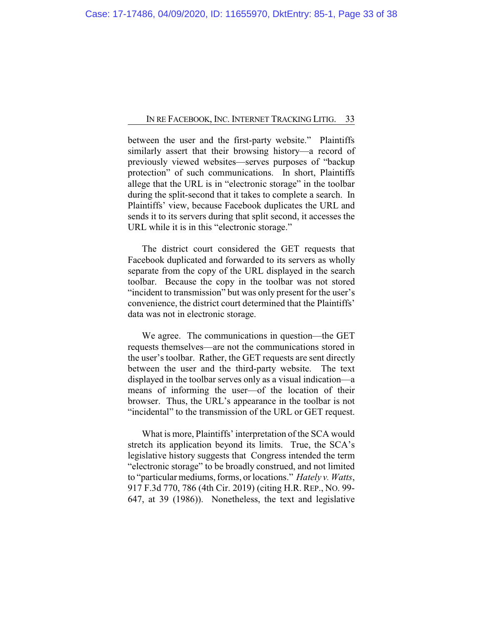between the user and the first-party website." Plaintiffs similarly assert that their browsing history—a record of previously viewed websites—serves purposes of "backup protection" of such communications. In short, Plaintiffs allege that the URL is in "electronic storage" in the toolbar during the split-second that it takes to complete a search. In Plaintiffs' view, because Facebook duplicates the URL and sends it to its servers during that split second, it accesses the URL while it is in this "electronic storage."

The district court considered the GET requests that Facebook duplicated and forwarded to its servers as wholly separate from the copy of the URL displayed in the search toolbar. Because the copy in the toolbar was not stored "incident to transmission" but was only present for the user's convenience, the district court determined that the Plaintiffs' data was not in electronic storage.

We agree. The communications in question—the GET requests themselves—are not the communications stored in the user's toolbar. Rather, the GET requests are sent directly between the user and the third-party website. The text displayed in the toolbar serves only as a visual indication—a means of informing the user—of the location of their browser. Thus, the URL's appearance in the toolbar is not "incidental" to the transmission of the URL or GET request.

What is more, Plaintiffs' interpretation of the SCA would stretch its application beyond its limits. True, the SCA's legislative history suggests that Congress intended the term "electronic storage" to be broadly construed, and not limited to "particular mediums, forms, or locations." *Hately v. Watts*, 917 F.3d 770, 786 (4th Cir. 2019) (citing H.R. REP., NO. 99- 647, at 39 (1986)). Nonetheless, the text and legislative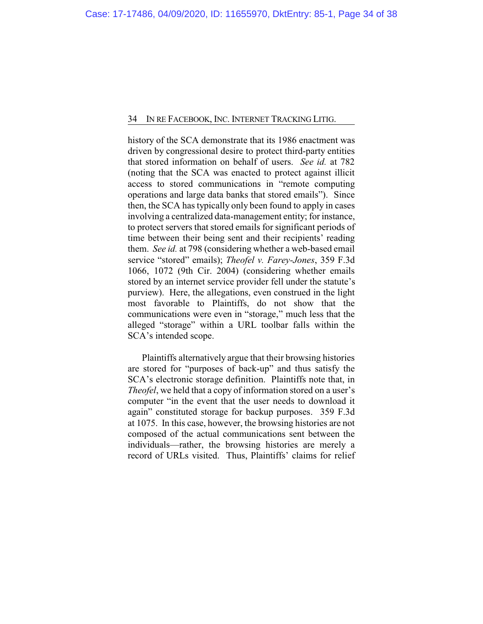history of the SCA demonstrate that its 1986 enactment was driven by congressional desire to protect third-party entities that stored information on behalf of users. *See id.* at 782 (noting that the SCA was enacted to protect against illicit access to stored communications in "remote computing operations and large data banks that stored emails"). Since then, the SCA has typically only been found to apply in cases involving a centralized data-management entity; for instance, to protect servers that stored emails for significant periods of time between their being sent and their recipients' reading them. *See id.* at 798 (considering whether a web-based email service "stored" emails); *Theofel v. Farey-Jones*, 359 F.3d 1066, 1072 (9th Cir. 2004) (considering whether emails stored by an internet service provider fell under the statute's purview). Here, the allegations, even construed in the light most favorable to Plaintiffs, do not show that the communications were even in "storage," much less that the alleged "storage" within a URL toolbar falls within the SCA's intended scope.

Plaintiffs alternatively argue that their browsing histories are stored for "purposes of back-up" and thus satisfy the SCA's electronic storage definition. Plaintiffs note that, in *Theofel*, we held that a copy of information stored on a user's computer "in the event that the user needs to download it again" constituted storage for backup purposes. 359 F.3d at 1075. In this case, however, the browsing histories are not composed of the actual communications sent between the individuals—rather, the browsing histories are merely a record of URLs visited. Thus, Plaintiffs' claims for relief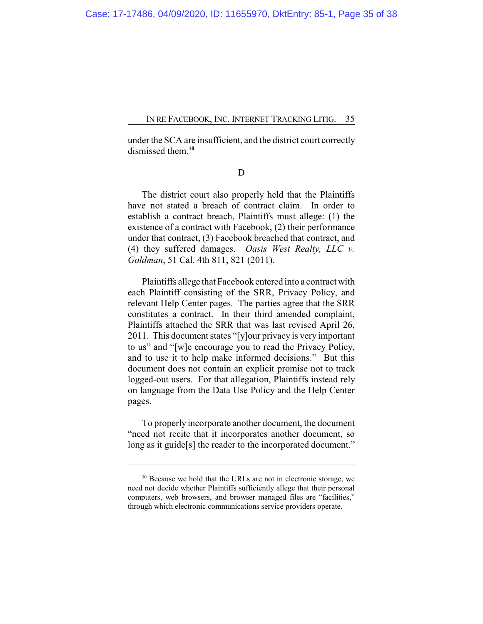under the SCA are insufficient, and the district court correctly dismissed them.**<sup>10</sup>**

D

The district court also properly held that the Plaintiffs have not stated a breach of contract claim. In order to establish a contract breach, Plaintiffs must allege: (1) the existence of a contract with Facebook, (2) their performance under that contract, (3) Facebook breached that contract, and (4) they suffered damages. *Oasis West Realty, LLC v. Goldman*, 51 Cal. 4th 811, 821 (2011).

Plaintiffs allege that Facebook entered into a contract with each Plaintiff consisting of the SRR, Privacy Policy, and relevant Help Center pages. The parties agree that the SRR constitutes a contract. In their third amended complaint, Plaintiffs attached the SRR that was last revised April 26, 2011. This document states "[y]our privacy is very important to us" and "[w]e encourage you to read the Privacy Policy, and to use it to help make informed decisions." But this document does not contain an explicit promise not to track logged-out users. For that allegation, Plaintiffs instead rely on language from the Data Use Policy and the Help Center pages.

To properly incorporate another document, the document "need not recite that it incorporates another document, so long as it guide<sup>[s]</sup> the reader to the incorporated document."

**<sup>10</sup>** Because we hold that the URLs are not in electronic storage, we need not decide whether Plaintiffs sufficiently allege that their personal computers, web browsers, and browser managed files are "facilities," through which electronic communications service providers operate.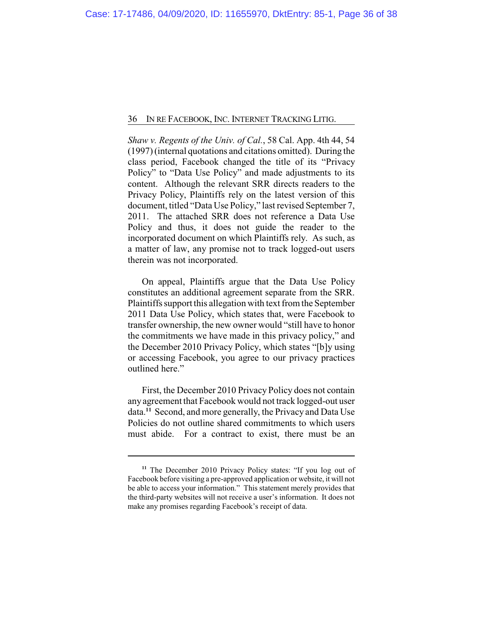*Shaw v. Regents of the Univ. of Cal.*, 58 Cal. App. 4th 44, 54 (1997) (internal quotations and citations omitted). During the class period, Facebook changed the title of its "Privacy Policy" to "Data Use Policy" and made adjustments to its content. Although the relevant SRR directs readers to the Privacy Policy, Plaintiffs rely on the latest version of this document, titled "Data Use Policy," last revised September 7, 2011. The attached SRR does not reference a Data Use Policy and thus, it does not guide the reader to the incorporated document on which Plaintiffs rely. As such, as a matter of law, any promise not to track logged-out users therein was not incorporated.

On appeal, Plaintiffs argue that the Data Use Policy constitutes an additional agreement separate from the SRR. Plaintiffs support this allegation with text from the September 2011 Data Use Policy, which states that, were Facebook to transfer ownership, the new owner would "still have to honor the commitments we have made in this privacy policy," and the December 2010 Privacy Policy, which states "[b]y using or accessing Facebook, you agree to our privacy practices outlined here."

First, the December 2010 Privacy Policy does not contain any agreement that Facebook would not track logged-out user data.**<sup>11</sup>** Second, and more generally, the Privacy and Data Use Policies do not outline shared commitments to which users must abide. For a contract to exist, there must be an

**<sup>11</sup>** The December 2010 Privacy Policy states: "If you log out of Facebook before visiting a pre-approved application or website, it will not be able to access your information." This statement merely provides that the third-party websites will not receive a user's information. It does not make any promises regarding Facebook's receipt of data.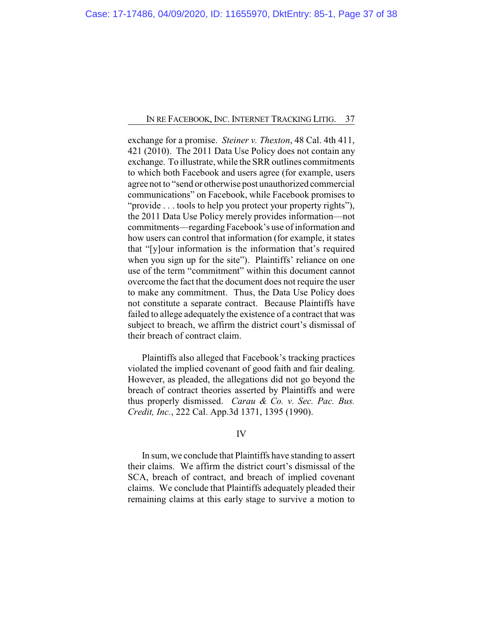exchange for a promise. *Steiner v. Thexton*, 48 Cal. 4th 411, 421 (2010). The 2011 Data Use Policy does not contain any exchange. To illustrate, while the SRR outlines commitments to which both Facebook and users agree (for example, users agree not to "send or otherwise post unauthorized commercial communications" on Facebook, while Facebook promises to "provide . . . tools to help you protect your property rights"), the 2011 Data Use Policy merely provides information—not commitments—regarding Facebook's use of information and how users can control that information (for example, it states that "[y]our information is the information that's required when you sign up for the site"). Plaintiffs' reliance on one use of the term "commitment" within this document cannot overcome the fact that the document does not require the user to make any commitment. Thus, the Data Use Policy does not constitute a separate contract. Because Plaintiffs have failed to allege adequately the existence of a contract that was subject to breach, we affirm the district court's dismissal of their breach of contract claim.

Plaintiffs also alleged that Facebook's tracking practices violated the implied covenant of good faith and fair dealing. However, as pleaded, the allegations did not go beyond the breach of contract theories asserted by Plaintiffs and were thus properly dismissed. *Carau & Co. v. Sec. Pac. Bus. Credit, Inc.*, 222 Cal. App.3d 1371, 1395 (1990).

## IV

In sum, we conclude that Plaintiffs have standing to assert their claims. We affirm the district court's dismissal of the SCA, breach of contract, and breach of implied covenant claims. We conclude that Plaintiffs adequately pleaded their remaining claims at this early stage to survive a motion to